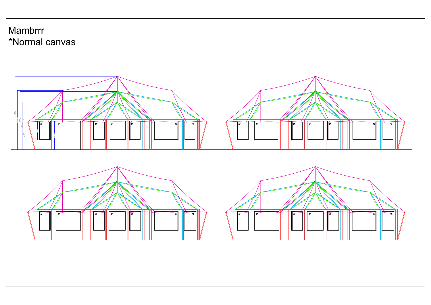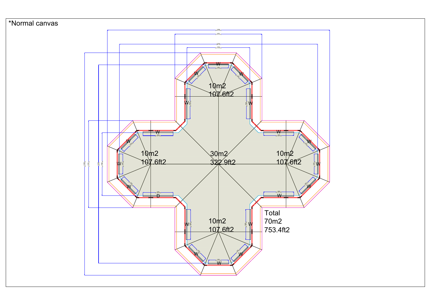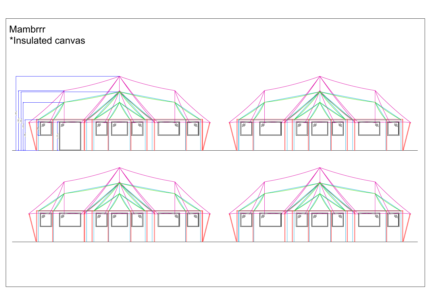

 $\overline{\mathbb{Z}}$ 

 $\sqrt{2}$ 

 $\sqrt{2}$ 

 $\overline{V}$ 



## Mambrrr \*Insulated canvas

 $\overline{\mathbb{Z}}$ 

 $\overline{\mathbb{W}}$ 

 $\sqrt{2}$ 

 $\overline{\mathbb{W}}$ 

 $\overline{\mathbb{N}}$ 

 $\overline{\mathbb{Z}}$ 

 $\overline{\mathbb{W}}$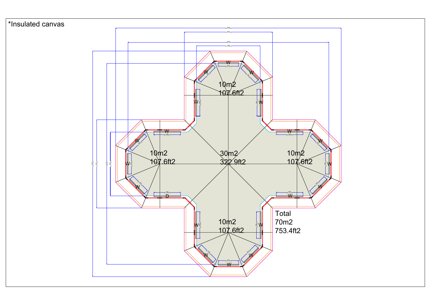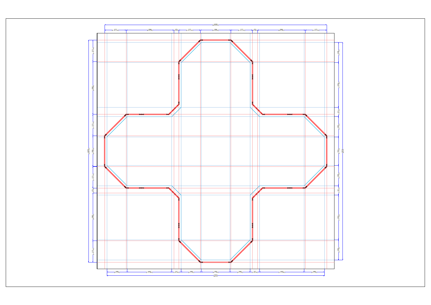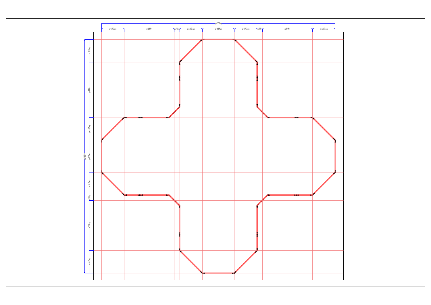